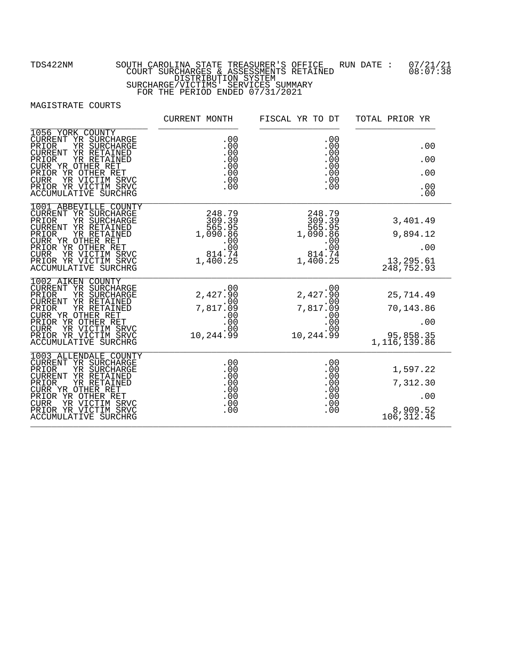|                                                                                                                                                                                                                                                                                                            | CURRENT MONTH | FISCAL YR TO DT                                                                                                                                                                                                                                                                                                                                    | TOTAL PRIOR YR                                             |
|------------------------------------------------------------------------------------------------------------------------------------------------------------------------------------------------------------------------------------------------------------------------------------------------------------|---------------|----------------------------------------------------------------------------------------------------------------------------------------------------------------------------------------------------------------------------------------------------------------------------------------------------------------------------------------------------|------------------------------------------------------------|
| 1056 YORK COUNTY<br>CURRENT YR SURCHARGE<br>PRIOR<br>YR SURCHARGE<br>CURRENT YR RETAINED<br>YR RETAINED<br>PRIOR<br>CURR YR OTHER RET<br>PRIOR YR OTHER RET<br><b>CURR</b><br>YR VICTIM SRVC<br>PRIOR YR VICTIM SRVC<br><b>ACCUMULATIVE SURCHRG</b>                                                        |               | $\begin{array}{c} 00 \\ .00 \\ .00 \\ .00 \\ .00 \\ .00 \\ .00 \\ .00 \end{array}$                                                                                                                                                                                                                                                                 | .00<br>.00<br>.00<br>.00<br>.00                            |
| 1001 ABBEVILLE COUNTY<br>CURRENT YR SURCHARGE<br>CURRENT YR SURCHARGE<br>PRIOR YR RETAINED<br>PRIOR YR RETAINED<br>PRIOR YR RETAINED<br>PRIOR YR OTHER RET<br>PRIOR YR OTHER RET<br>PRIOR YR OTHER RET<br>PRIOR YR OTHER RET<br>PRIOR YR VICTIM SRVC<br>CURR YR VICTIM SRVC<br><b>ACCUMULATIVE SURCHRG</b> |               |                                                                                                                                                                                                                                                                                                                                                    | 3,401.49<br>9,894.12<br>.00<br>13, 295.61<br>248, 752.93   |
| 1002 AIKEN COUNTY<br>CURRENT YR SURCHARGE<br>YR SURCHARGE<br>PRIOR<br>CURRENT YR RETAINED<br>PRIOR<br>YR RETAINED<br>CURR YR OTHER RET<br>PRIOR YR OTHER RET<br>CURR YR VICTIM SRVC<br>PRIOR YR VICTIM SRVC<br>ACCUMULATIVE SURCHRG                                                                        | .00           | .00<br>$\begin{array}{lllllllllll} \text{3E} & & & 2,427\substack{+900\ 0} & & & 2,427\substack{+900\ 0} & & & 7,817\substack{+000\ 0} & & & 7,817\substack{+090\ 0} & & & & 7,817\substack{+090\ 0} & & & & 00\ 0 & & & & 00 & & & 00\ 0 & & & & 00 & & & 00\ 0 & & & & & 00 & & & 00\ 0 & & & & & & 00 & & & 00\ 0 & & & & & & & 00 & & 00\ 0 &$ | 25,714.49<br>70,143.86<br>.00<br>95,858.35<br>1,116,139.86 |
| 1003 ALLENDALE COUNTY<br>CURRENT YR SURCHARGE<br>YR SURCHARGE<br>PRIOR<br>CURRENT YR RETAINED<br>YR RETAINED<br>PRIOR<br>CURR YR OTHER RET<br>PRIOR YR OTHER RET<br><b>CURR</b><br>YR VICTIM SRVC<br>PRIOR YR VICTIM SRVC<br><b>ACCUMULATIVE SURCHRG</b>                                                   |               |                                                                                                                                                                                                                                                                                                                                                    | 1,597.22<br>7,312.30<br>.00<br>8,909.52<br>106, 312.45     |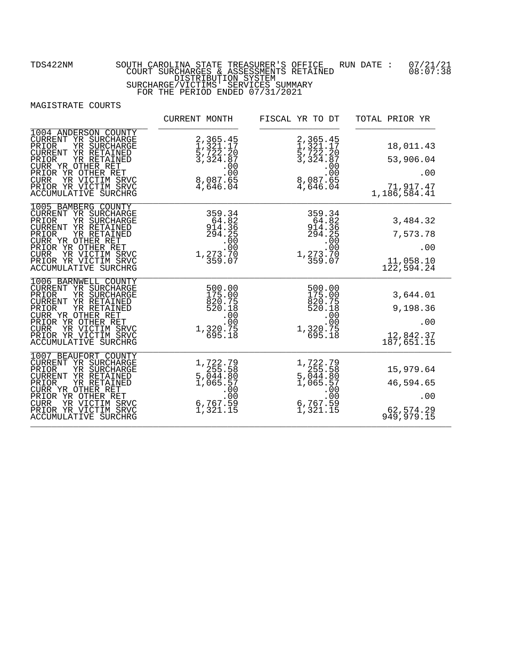|                                                                                                                                                                                                                                                         | CURRENT MONTH                                                                                                               | FISCAL YR TO DT                                                                                                                                | TOTAL PRIOR YR                                             |
|---------------------------------------------------------------------------------------------------------------------------------------------------------------------------------------------------------------------------------------------------------|-----------------------------------------------------------------------------------------------------------------------------|------------------------------------------------------------------------------------------------------------------------------------------------|------------------------------------------------------------|
| 1004 ANDERSON COUNTY<br>CURRENT YR SURCHARGE<br>PRIOR<br>YR SURCHARGE<br>CURRENT YR RETAINED<br>YR RETAINED<br>PRIOR<br>CURR YR OTHER RET<br>PRIOR YR OTHER RET<br>YR VICTIM SRVC<br><b>CURR</b><br>PRIOR YR VICTIM SRVC<br><b>ACCUMULATIVE SURCHRG</b> | 2, 365.45<br>1, 321.17<br>5, 722.20<br>3, 324.87<br>$\begin{array}{r} .00 \\ .00 \\ .00 \\ .087.65 \\ 4,646.04 \end{array}$ | 2, 365.45<br>1, 321.17<br>5, 722.20<br>3, 324.87<br>$\begin{array}{r} 0.00 \\ -0.00 \\ -0.00 \\ -0.087 \\ -0.04 \\ -0.04 \\ -0.04 \end{array}$ | 18,011.43<br>53,906.04<br>.00<br>71,917.47<br>1,186,584.41 |
| 1005 BAMBERG COUNTY<br>CURRENT YR SURCHARGE<br>PRIOR<br>YR SURCHARGE<br>CURRENT YR RETAINED<br>PRIOR<br>YR RETAINED<br>CURR YR OTHER RET<br>PRIOR YR OTHER RET<br><b>CURR</b><br>YR VICTIM SRVC<br>PRIOR YR VICTIM SRVC<br>ACCUMULATIVE SURCHRG         | 359.34<br>$54.82$<br>914.36<br>294.25<br>.00<br>$00$ :<br>1,273.70<br>359.07                                                | $\begin{array}{r} \hline 359.34 \\ 64.82 \\ 914.36 \\ 294.25 \\ .90 \\ \hline \end{array}$                                                     | 3,484.32<br>7,573.78<br>.00<br>11,058.10<br>122, 594.24    |
| 1006 BARNWELL COUNTY<br>CURRENT YR SURCHARGE<br>PRIOR<br>YR SURCHARGE<br>CURRENT YR RETAINED<br>PRIOR<br>YR RETAINED<br>CURR YR OTHER RET<br>PRIOR YR OTHER RET<br><b>CURR</b><br>YR VICTIM SRVC<br>PRIOR YR VICTIM SRVC<br>ACCUMULATIVE SURCHRG        | 500.00<br>$175.00$<br>$175.00$<br>820.75<br>520.18<br>.00<br>$00$ :<br>1,320.75<br>695.18                                   | 500.00<br>175.00<br>820.75<br>520.18<br>.00<br>$00$ :<br>1,320.75<br>695.18                                                                    | 3,644.01<br>9,198.36<br>.00<br>12,842.37<br>187,651.15     |
| 1007 BEAUFORT COUNTY<br>CURRENT YR SURCHARGE<br>YR SURCHARGE<br>PRIOR<br>CURRENT YR RETAINED<br>PRIOR<br>YR RETAINED<br>CURR YR OTHER RET<br>PRIOR YR OTHER RET<br>YR VICTIM SRVC<br><b>CURR</b><br>PRIOR YR VICTIM SRVC<br><b>ACCUMULATIVE SURCHRG</b> | 1,722.79<br>255.58<br>5,044.80<br>1,065.57<br>$500$<br>00.<br>6,767.59<br>1,321.15                                          | 1,722.79<br>255.58<br>5,044.80<br>1,065.57<br>$\begin{array}{r} 1,8893100 \\ -000 \\ -000 \\ 6,767.59 \\ 1,321.15 \end{array}$                 | 15,979.64<br>46,594.65<br>.00<br>62,574.29<br>949,979.15   |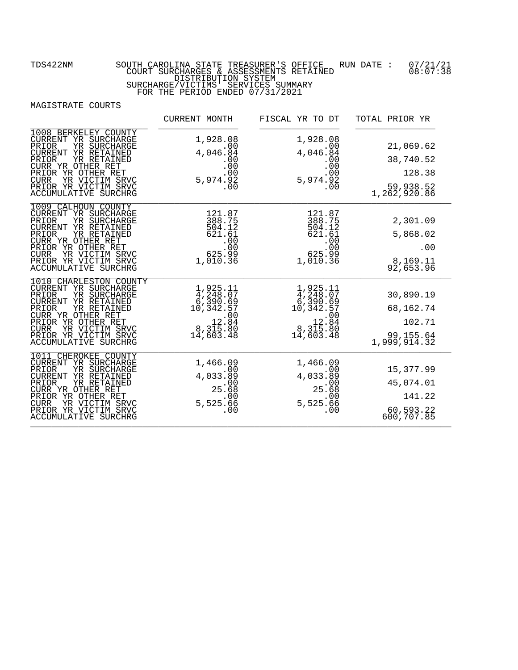|                                                                                                                                                                                                                                                         | CURRENT MONTH                                                                                                            | FISCAL YR TO DT                                                                                                                 | TOTAL PRIOR YR                                                |
|---------------------------------------------------------------------------------------------------------------------------------------------------------------------------------------------------------------------------------------------------------|--------------------------------------------------------------------------------------------------------------------------|---------------------------------------------------------------------------------------------------------------------------------|---------------------------------------------------------------|
| 1008 BERKELEY COUNTY<br>CURRENT YR SURCHARGE<br>PRIOR<br>YR SURCHARGE<br>CURRENT YR RETAINED<br>PRIOR<br>YR RETAINED<br>CURR YR OTHER RET<br>PRIOR YR OTHER RET<br>YR VICTIM SRVC<br><b>CURR</b><br>PRIOR YR VICTIM SRVC<br><b>ACCUMULATIVE SURCHRG</b> | 1,928.08<br>.00<br>4,046.84<br>$00.00$<br>00.00<br>$5,974.\tilde{9}\tilde{2}\ 00$<br>.00                                 | 1,928.08<br>.00<br>4,046.84<br>5,974.92<br>$\overline{00}$                                                                      | 21,069.62<br>38,740.52<br>128.38<br>59,938.52<br>1,262,920.86 |
| 1009 CALHOUN COUNTY<br>CURRENT YR SURCHARGE<br>PRIOR<br>YR SURCHARGE<br>CURRENT YR RETAINED<br>PRIOR<br>YR RETAINED<br>CURR YR OTHER RET<br>PRIOR YR OTHER RET<br><b>CURR</b><br>YR VICTIM SRVC<br>PRIOR YR VICTIM SRVC<br>ACCUMULATIVE SURCHRG         | 121.87<br>388.75<br>504.12<br>621.61<br>.00<br>00.<br>99.g25<br>1,010.36                                                 | 121.87<br>388.75<br>504.12<br>621.61<br>625.89<br>1,010.36                                                                      | 2,301.09<br>5,868.02<br>.00<br>8,169.11<br>92,653.96          |
| 1010 CHARLESTON COUNTY<br>CURRENT YR SURCHARGE<br>PRIOR<br>YR SURCHARGE<br>CURRENT YR RETAINED<br>PRIOR<br>YR RETAINED<br>CURR YR OTHER RET<br>PRIOR YR OTHER RET<br><b>CURR</b><br>YR VICTIM SRVC<br>PRIOR YR VICTIM SRVC<br>ACCUMULATIVE SURCHRG      | 1,925.11<br>4,248.07<br>6,390.69<br>10,342.57<br>$\begin{array}{r} .00 \\ .00 \\ .8 \\ .315.80 \end{array}$<br>14,603.48 | $1,925.11$<br>$4,248.07$<br>$6,390.69$<br>$10,342.57$<br>$\begin{array}{r}00 \\ .00 \\ .84 \\ .8715.80\end{array}$<br>14,603.48 | 30,890.19<br>68,162.74<br>102.71<br>99,155.64<br>1,999,914.32 |
| 1 CHEROKEE COUNTY<br>101<br>CURRENT YR SURCHARGE<br>YR SURCHARGE<br>PRIOR<br>CURRENT YR RETAINED<br>YR RETAINED<br>PRIOR<br>CURR YR OTHER RET<br>PRIOR YR OTHER RET<br>YR VICTIM SRVC<br><b>CURR</b><br>PRIOR YR VICTIM SRVC<br>ACCUMULATIVE SURCHRG    | 1,466.09<br>.00<br>4,033.89<br>25.68<br>5,525.66<br>.00                                                                  | 1,466.09<br>$4,033.\overline{89}$<br>25.68<br>$5,525.\overline{66}$<br>.00                                                      | 15,377.99<br>45,074.01<br>141.22<br>60,593.22<br>600,707.85   |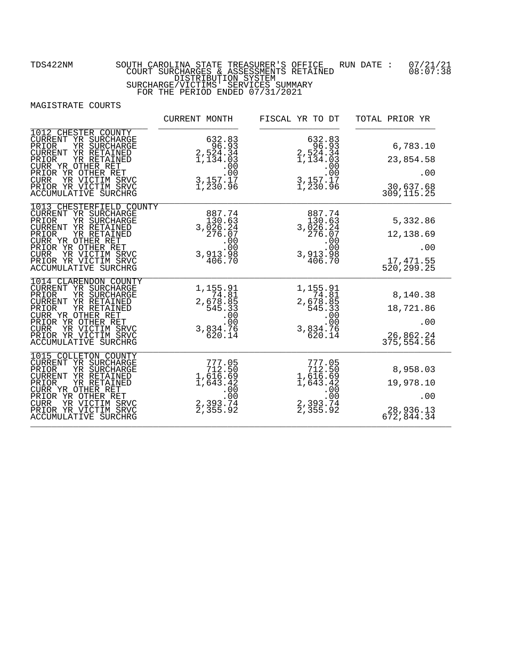|                                                                                                                                                                                                                                                            | CURRENT MONTH                                                                                                                  | FISCAL YR TO DT                                                                                                               | TOTAL PRIOR YR                                          |
|------------------------------------------------------------------------------------------------------------------------------------------------------------------------------------------------------------------------------------------------------------|--------------------------------------------------------------------------------------------------------------------------------|-------------------------------------------------------------------------------------------------------------------------------|---------------------------------------------------------|
| 1012 CHESTER COUNTY<br>CURRENT YR SURCHARGE<br>PRIOR<br>YR SURCHARGE<br>CURRENT YR RETAINED<br>YR RETAINED<br>PRIOR<br>CURR YR OTHER RET<br>PRIOR YR OTHER RET<br>YR VICTIM SRVC<br><b>CURR</b><br>PRIOR YR VICTIM SRVC<br>ACCUMULATIVE SURCHRG            | 632.83<br>96.93<br>$2,524.34$<br>$1,134.03$<br>$\begin{array}{r} 1,15 \\ .00 \\ .00 \\ .00 \\ .157.17 \\ 1,230.96 \end{array}$ | 632.83<br>96.93<br>$2,524.34$<br>$1,134.03$<br>$\begin{array}{r} 1,1511.00 \\ .00 \\ .00 \\ 3,157.17 \\ 1,230.96 \end{array}$ | 6,783.10<br>23,854.58<br>.00<br>30,637.68<br>309,115.25 |
| 1013 CHESTERFIELD COUNTY<br>CURRENT YR SURCHARGE<br>PRIOR<br>YR SURCHARGE<br>CURRENT YR RETAINED<br>PRIOR<br>YR RETAINED<br>CURR YR OTHER RET<br>PRIOR YR OTHER RET<br><b>CURR</b><br>YR VICTIM SRVC<br>PRIOR YR VICTIM SRVC<br>ACCUMULATIVE SURCHRG       | 887.74<br>130.63<br>3,026.24<br>276.07<br>.00<br>00:<br>3,913.98<br>406.70                                                     | 887.74<br>130.63<br>3,026.24<br>276.07<br>.00<br>00:<br>88: 119, 3<br>406.70                                                  | 5,332.86<br>12,138.69<br>.00<br>17,471.55<br>520,299.25 |
| 1014 CLARENDON COUNTY<br>CURRENT YR SURCHARGE<br>PRIOR<br>YR SURCHARGE<br>CURRENT YR RETAINED<br>PRIOR<br>YR RETAINED<br>CURR YR OTHER RET<br>PRIOR YR OTHER RET<br><b>CURR</b><br>YR VICTIM SRVC<br>PRIOR YR VICTIM SRVC<br>ACCUMULATIVE SURCHRG          | 1,155.91<br>$\begin{array}{r} 74.81 \\ 2,678.85 \\ 545.33 \end{array}$<br>.00<br>3,834.76<br>620.14                            | 1,155.91<br>$74.81$<br>2,678.85<br>545.33<br>$00$<br>00.<br>3,834.76<br>620.14                                                | 8,140.38<br>18,721.86<br>.00<br>26,862.24<br>375,554.56 |
| 1015 COLLETON COUNTY<br>CURRENT YR SURCHARGE<br>YR SURCHARGE<br>PRIOR<br>YR RETAINED<br><b>CURRENT</b><br>YR RETAINED<br>PRIOR<br>CURR YR OTHER RET<br>PRIOR YR OTHER RET<br>YR VICTIM SRVC<br><b>CURR</b><br>PRIOR YR VICTIM SRVC<br>ACCUMULATIVE SURCHRG | 777.05<br>712.50<br>$\begin{array}{r} 712.50 \\ 1,616.69 \\ 1,643.42 \\ \hline \end{array}$<br>$2,393.74$<br>2,393.74          | 777.05<br>712.50<br>$1,6\overline{16}.69$<br>1,643.42<br>$2,393.74$<br>2,393.74                                               | 8,958.03<br>19,978.10<br>.00<br>28,936.13<br>672,844.34 |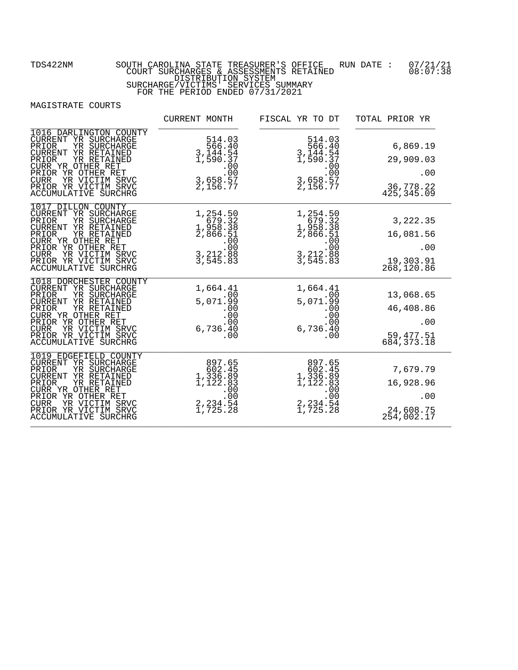|                                                                                                                                                                                                                                                           | CURRENT MONTH                                                                                                                  | FISCAL YR TO DT                                                                                                                          | TOTAL PRIOR YR                                             |
|-----------------------------------------------------------------------------------------------------------------------------------------------------------------------------------------------------------------------------------------------------------|--------------------------------------------------------------------------------------------------------------------------------|------------------------------------------------------------------------------------------------------------------------------------------|------------------------------------------------------------|
| 1016 DARLINGTON COUNTY<br>CURRENT YR SURCHARGE<br>PRIOR<br>YR SURCHARGE<br>CURRENT YR RETAINED<br>YR RETAINED<br>PRIOR<br>CURR YR OTHER RET<br>PRIOR YR OTHER RET<br>YR VICTIM SRVC<br><b>CURR</b><br>PRIOR YR VICTIM SRVC<br><b>ACCUMULATIVE SURCHRG</b> | 514.03<br>$566.40$<br>3, 144.54<br>1, 590.37<br>$\begin{array}{r} 1,555 \ 0.00 \ 3,658.57 \ 2,156.77 \ \end{array}$            | 514.03<br>$566.40$<br>3, 144.54<br>1, 590.37<br>$\begin{array}{r} 1,999 \cdot 0.00 \\ .00 \\ .00 \\ .07 \\ .57 \\ .156.77 \end{array}$   | 6,869.19<br>29,909.03<br>.00<br>36,778.22<br>425,345.09    |
| 1017 DILLON COUNTY<br>CURRENT YR SURCHARGE<br>PRIOR<br>YR SURCHARGE<br><b>CURRENT</b><br>YR RETAINED<br>PRIOR<br>YR RETAINED<br>CURR YR OTHER RET<br>PRIOR YR OTHER RET<br><b>CURR</b><br>YR VICTIM SRVC<br>PRIOR YR VICTIM SRVC<br>ACCUMULATIVE SURCHRG  | 1,254.50<br>679.32<br>1,958.38<br>2,866.51<br>$\begin{array}{r} 2,888 \\ -0.00 \\ -0.00 \\ -3,212.88 \\ -3,545.83 \end{array}$ | $1, 254.50$<br>$679.32$<br>$1, 958.38$<br>$2, 866.51$<br>$\begin{array}{r} 2,888 \\ -0.00 \\ -0.00 \\ -3,212.88 \\ 3,545.83 \end{array}$ | 3,222.35<br>16,081.56<br>.00<br>19,303.91<br>268,120.86    |
| 1018 DORCHESTER COUNTY<br>CURRENT YR SURCHARGE<br>PRIOR<br>YR SURCHARGE<br>CURRENT YR RETAINED<br>PRIOR<br>YR RETAINED<br>CURR YR OTHER RET<br>PRIOR YR OTHER RET<br><b>CURR</b><br>YR VICTIM SRVC<br>PRIOR YR VICTIM SRVC<br>ACCUMULATIVE SURCHRG        | 1,664.41<br>.00<br>5,071.99<br>00.0<br>.00<br>6,736.40<br>.00                                                                  | 1,664.41<br>.00<br>5,071.99<br>00.0<br>.00<br>6,736.40<br>.00                                                                            | 13,068.65<br>46,408.86<br>.00<br>59, 477.51<br>684, 373.18 |
| 1019 EDGEFIELD COUNTY<br>CURRENT YR SURCHARGE<br>YR SURCHARGE<br>PRIOR<br>CURRENT<br>YR RETAINED<br>PRIOR<br>YR RETAINED<br>CURR YR OTHER RET<br>PRIOR YR OTHER RET<br>YR VICTIM SRVC<br><b>CURR</b><br>PRIOR YR VICTIM SRVC<br>ACCUMULATIVE SURCHRG      | 897.65<br>602.45<br>1,336.89<br>1,122.83<br>$2, 234.54$<br>1,725.28                                                            | 897.65<br>602.45<br>1,336.89<br>1,122.83<br>$2, 234.54$<br>1,725.28                                                                      | 7,679.79<br>16,928.96<br>.00<br>24,608.75<br>254,002.17    |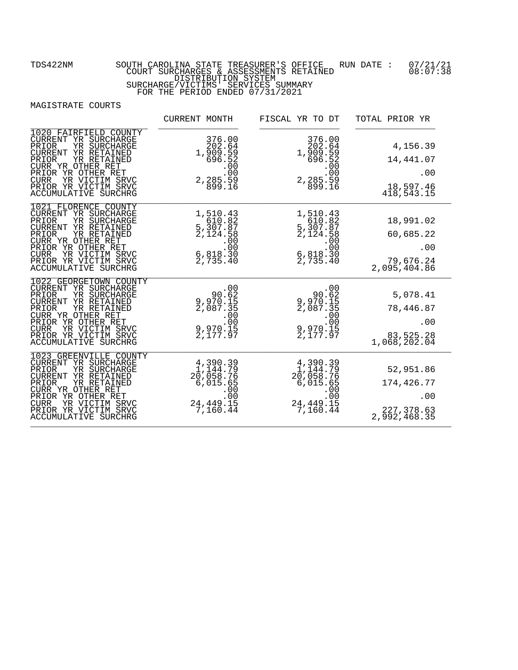|                                                                                                                                                                                                                                                          | CURRENT MONTH                                                                                                                      | FISCAL YR TO DT                                                                                                              | TOTAL PRIOR YR                                               |
|----------------------------------------------------------------------------------------------------------------------------------------------------------------------------------------------------------------------------------------------------------|------------------------------------------------------------------------------------------------------------------------------------|------------------------------------------------------------------------------------------------------------------------------|--------------------------------------------------------------|
| 1020 FAIRFIELD COUNTY<br>CURRENT YR SURCHARGE<br>PRIOR<br>YR SURCHARGE<br>CURRENT YR RETAINED<br>YR RETAINED<br>PRIOR<br>CURR YR OTHER RET<br>PRIOR YR OTHER RET<br>YR VICTIM SRVC<br><b>CURR</b><br>PRIOR YR VICTIM SRVC<br><b>ACCUMULATIVE SURCHRG</b> | 376.00<br>202.64<br>1,909.59<br>696.52<br>$2, 285.59$<br>00.<br>899.16                                                             | 376.00<br>202.64<br>1,909.59<br>696.52<br>$2, 285.59$<br>00.<br>899.16                                                       | 4,156.39<br>14,441.07<br>.00<br>18,597.46<br>418,543.15      |
| 1021 FLORENCE COUNTY<br>CURRENT YR SURCHARGE<br>PRIOR<br>YR SURCHARGE<br>CURRENT YR RETAINED<br>PRIOR<br>YR RETAINED<br>CURR YR OTHER RET<br>PRIOR YR OTHER RET<br>YR VICTIM SRVC<br><b>CURR</b><br>PRIOR YR VICTIM SRVC<br>ACCUMULATIVE SURCHRG         | 1,510.43<br>610.82<br>5,307.87<br>2,124.58<br>$\begin{array}{r} 7.2 \rightarrow 0.00 \\ .00 \\ .00 \\ .00 \\ 2,735.40 \end{array}$ | 1,510.43<br>610.82<br>5,307.87<br>2,124.58<br>$\begin{array}{r} 2,1211.00 \\ .00 \\ .00 \\ 6,818.30 \\ 2,735.40 \end{array}$ | 18,991.02<br>60,685.22<br>.00<br>79,676.24<br>2,095,404.86   |
| 1022 GEORGETOWN COUNTY<br>CURRENT YR SURCHARGE<br>PRIOR<br>YR SURCHARGE<br>CURRENT YR RETAINED<br>PRIOR<br>YR RETAINED<br>CURR YR OTHER RET<br>PRIOR YR OTHER RET<br><b>CURR</b><br>YR VICTIM SRVC<br>PRIOR YR VICTIM SRVC<br>ACCUMULATIVE SURCHRG       | 90.00<br>9,970.ĭ5<br>2,087.35<br>$9,970.15$<br>0,177.97                                                                            | 00<br>90.62<br>9,970.15<br>2,087.35<br>$\begin{array}{r} 2,8871.00 \\ .00 \\ .00 \\ .09 \\ 2,177.97 \end{array}$             | 5,078.41<br>78,446.87<br>.00<br>83,525.28<br>1,068,202.04    |
| 1023 GREENVILLE COUNTY<br>CURRENT YR SURCHARGE<br>YR SURCHARGE<br>PRIOR<br>CURRENT YR RETAINED<br>YR RETAINED<br>PRIOR<br>CURR YR OTHER RET<br>PRIOR YR OTHER RET<br>YR VICTIM SRVC<br><b>CURR</b><br>PRIOR YR VICTIM SRVC<br>ACCUMULATIVE SURCHRG       | 4, 390.39<br>1, 144.79<br>$20,058.76$<br>6,015.65<br>00.<br>.00.00<br>24,449.15<br>7,160.44                                        | 4, 390. 39<br>1, 144. 79<br>$2\overline{0}$ , 058.76<br>6,015.65<br>$.00$<br>.00<br>24,449.15<br>7,160.44                    | 52,951.86<br>174,426.77<br>.00<br>227,378.63<br>2,992,468.35 |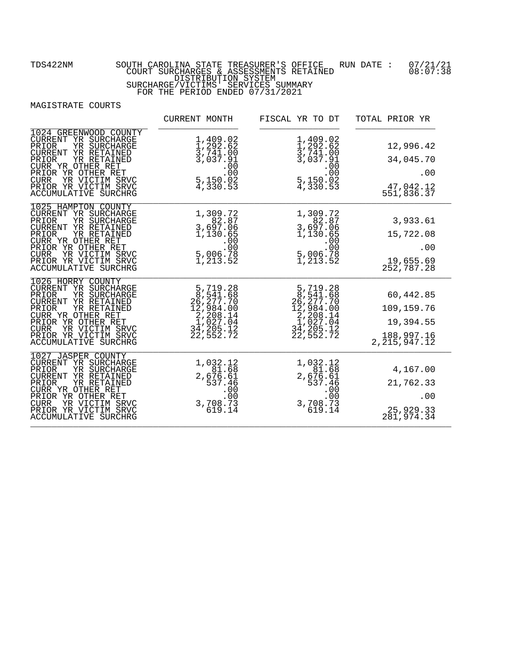|                                                                                                                                                                                                                                                          | CURRENT MONTH                                                                                        | FISCAL YR TO DT                                                                                                                  | TOTAL PRIOR YR                                                        |
|----------------------------------------------------------------------------------------------------------------------------------------------------------------------------------------------------------------------------------------------------------|------------------------------------------------------------------------------------------------------|----------------------------------------------------------------------------------------------------------------------------------|-----------------------------------------------------------------------|
| 1024 GREENWOOD COUNTY<br>CURRENT YR SURCHARGE<br>PRIOR<br>YR SURCHARGE<br>CURRENT YR RETAINED<br>YR RETAINED<br>PRIOR<br>CURR YR OTHER RET<br>PRIOR YR OTHER RET<br>YR VICTIM SRVC<br><b>CURR</b><br>PRIOR YR VICTIM SRVC<br>ACCUMULATIVE SURCHRG        | 1,409.02<br>$\frac{1}{3}, \frac{292}{741}.00$<br>3, 037.91<br>.00.00<br>5,150.02<br>4,330.53         | 1,409.02<br>$\frac{1}{2}, \frac{2}{2}, \frac{2}{6}, \frac{2}{2}$<br>3,741.00<br>3,037.91<br>$5, 00$<br>5, 150.00<br>4, 330.53    | 12,996.42<br>34,045.70<br>.00<br>47,042.12<br>551,836.37              |
| 1025 HAMPTON COUNTY<br>CURRENT YR SURCHARGE<br>YR SURCHARGE<br>PRIOR<br>CURRENT YR RETAINED<br>PRIOR<br>YR RETAINED<br>CURR YR OTHER RET<br>PRIOR YR OTHER RET<br><b>CURR</b><br>YR VICTIM SRVC<br>PRIOR YR VICTIM SRVC<br>ACCUMULATIVE SURCHRG          | 1,309.72<br>$\begin{array}{r} 2,82.87 \\ 3,697.06 \\ 1,130.65 \end{array}$<br>$5,006.78$<br>1,213.52 | 1, 309.72<br>82.87<br>3, 697.06<br>1, 130.65<br>$\begin{array}{r} 1,153 \ .00 \ .00 \ .00 \ .9 \ .01 \ .213 \ .52 \ \end{array}$ | 3,933.61<br>15,722.08<br>.00<br>19,655.69<br>252,787.28               |
| 1026 HORRY COUNTY<br>CURRENT YR SURCHARGE<br>YR SURCHARGE<br>PRIOR<br>CURRENT YR RETAINED<br>PRIOR<br>YR RETAINED<br>CURR YR OTHER RET<br>PRIOR YR OTHER RET<br>YR VICTIM SRVC<br><b>CURR</b><br>PRIOR YR VICTIM SRVC<br>ACCUMULATIVE SURCHRG            | 5,719.28<br>8,541.68<br>26,277.70<br>12,984.00<br>1,027.04<br>1,205.12<br>34,205.12<br>22,552.72     | 5,719.28<br>8,541.68<br>26,277.70<br>26,277.70<br>12,984.00<br>1,027.04<br>34,205.12<br>32,552.72                                | 60,442.85<br>109,159.76<br>19,394.55<br>188, 997.16<br>2, 215, 947.12 |
| 1027 JASPER COUNTY<br>CURRENT YR SURCHARGE<br>YR SURCHARGE<br>PRIOR<br><b>CURRENT</b><br>YR RETAINED<br>PRIOR<br>YR RETAINED<br>CURR YR OTHER RET<br>PRIOR YR OTHER RET<br><b>CURR</b><br>YR VICTIM SRVC<br>PRIOR YR VICTIM SRVC<br>ACCUMULATIVE SURCHRG | 1,032.12<br>81.68<br>2,676.61<br>537.46<br>$00$<br>00.<br>3,798.73<br>619.14                         | 1,032.12<br>81.68<br>$2,676.61$<br>537.46<br>$00$<br>00.<br>3,708.73<br>619.14                                                   | 4,167.00<br>21,762.33<br>.00<br>25,929.33<br>281,974.34               |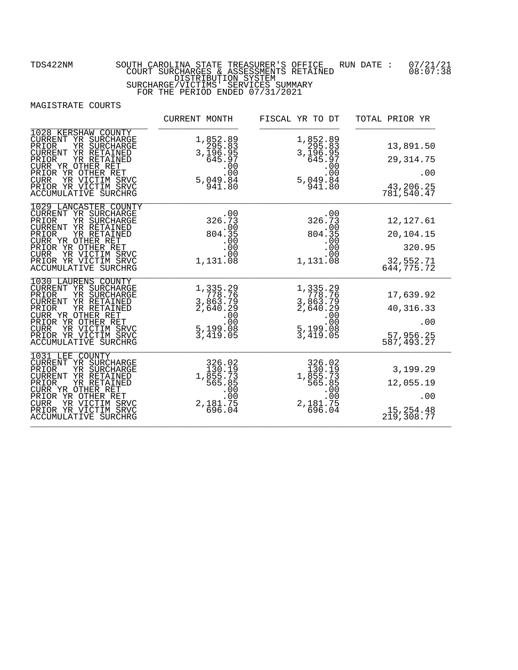|                                                                                                                                                                                                                                                        | CURRENT MONTH                                                                                             | FISCAL YR TO DT                                                                             | TOTAL PRIOR YR                                               |
|--------------------------------------------------------------------------------------------------------------------------------------------------------------------------------------------------------------------------------------------------------|-----------------------------------------------------------------------------------------------------------|---------------------------------------------------------------------------------------------|--------------------------------------------------------------|
| 1028 KERSHAW COUNTY<br>CURRENT YR SURCHARGE<br>PRIOR<br>YR SURCHARGE<br>CURRENT YR RETAINED<br>PRIOR<br>YR RETAINED<br>CURR YR OTHER RET<br>PRIOR YR OTHER RET<br>YR VICTIM SRVC<br><b>CURR</b><br>PRIOR YR VICTIM SRVC<br><b>ACCUMULATIVE SURCHRG</b> | 1,852.89<br>295.83<br>3,196.95<br>645.97<br>$5,049.84$<br>941.80                                          | 1,852.89<br>295.83<br>3,196.95<br>645.97<br>$5,049.84$<br>941.80                            | 13,891.50<br>29, 314.75<br>.00<br>43,206.25<br>781,540.47    |
| 1029 LANCASTER COUNTY<br>CURRENT YR SURCHARGE<br>PRIOR<br>YR SURCHARGE<br>CURRENT YR RETAINED<br>PRIOR<br>YR RETAINED<br>CURR YR OTHER RET<br>PRIOR YR OTHER RET<br>YR VICTIM SRVC<br><b>CURR</b><br>PRIOR YR VICTIM SRVC<br>ACCUMULATIVE SURCHRG      | 326:73<br>$.00$<br>804.35<br>.00<br>$.00$<br>.00<br>$1,131.\tilde{0}\bar{8}$                              | 326:73<br>$.00$<br>804.35<br>00.<br>00.<br>00.<br>1,131.08                                  | 12, 127.61<br>20,104.15<br>320.95<br>32,552.71<br>644,775.72 |
| 1030 LAURENS COUNTY<br>CURRENT YR SURCHARGE<br>PRIOR<br>YR SURCHARGE<br>CURRENT YR RETAINED<br>PRIOR<br>YR RETAINED<br>CURR YR OTHER RET<br>PRIOR YR OTHER RET<br>YR VICTIM SRVC<br><b>CURR</b><br>PRIOR YR VICTIM SRVC<br>ACCUMULATIVE SURCHRG        | $1,335.29$<br>$778.76$<br>$3,863.79$<br>$2,640.29$<br>$000$<br>$5,199.08$<br>$3,419.05$                   | 1, 335.29<br>778.76<br>3, 863.79<br>2, 640.29<br>$5,199.08$<br>3,419.05                     | 17,639.92<br>40, 316. 33<br>.00<br>57,956.25<br>587,493.27   |
| 1031 LEE COUNTY<br>CURRENT YR SURCHARGE<br>YR SURCHARGE<br>PRIOR<br>CURRENT YR RETAINED<br>PRIOR<br>YR RETAINED<br>CURR YR OTHER RET<br>PRIOR YR OTHER RET<br>YR VICTIM SRVC<br><b>CURR</b><br>PRIOR YR VICTIM SRVC<br><b>ACCUMULATIVE SURCHRG</b>     | 326.02<br>130.19<br>1, $\frac{1}{355}$ , 73<br>565.85<br>.00<br>.00<br>$2,181.75$<br>00.<br>00.<br>696.04 | 326.02<br>130.19<br>$1,855.73$<br>565.735<br>.00.00<br>$.00$<br>$0.0$<br>2,181.75<br>696.04 | 3,199.29<br>12,055.19<br>.00<br>15,254.48<br>219,308.77      |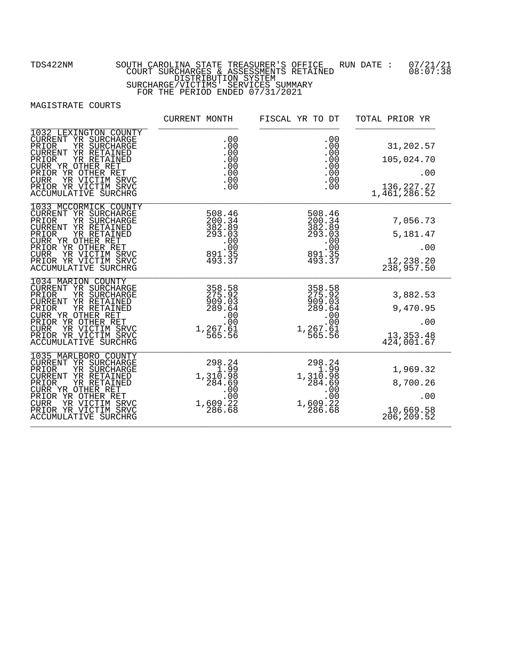|                                                                                                                                                                                                                                                          | CURRENT MONTH                                                                                     | FISCAL YR TO DT                                                                                                                                 | TOTAL PRIOR YR                                                 |
|----------------------------------------------------------------------------------------------------------------------------------------------------------------------------------------------------------------------------------------------------------|---------------------------------------------------------------------------------------------------|-------------------------------------------------------------------------------------------------------------------------------------------------|----------------------------------------------------------------|
| 1032 LEXINGTON COUNTY<br>CURRENT YR SURCHARGE<br>PRIOR<br>YR SURCHARGE<br>CURRENT YR RETAINED<br>YR RETAINED<br>PRIOR<br>CURR YR OTHER RET<br>PRIOR YR OTHER RET<br>YR VICTIM SRVC<br><b>CURR</b><br>PRIOR YR VICTIM SRVC<br><b>ACCUMULATIVE SURCHRG</b> |                                                                                                   | .00                                                                                                                                             | 31,202.57<br>105,024.70<br>.00<br>136, 227. 27<br>1,461,286.52 |
| 1033 MCCORMICK COUNTY<br>CURRENT YR SURCHARGE<br>PRIOR<br>YR SURCHARGE<br>CURRENT YR RETAINED<br>PRIOR<br>YR RETAINED<br>CURR YR OTHER RET<br>PRIOR YR OTHER RET<br>YR VICTIM SRVC<br><b>CURR</b><br>PRIOR YR VICTIM SRVC<br><b>ACCUMULATIVE SURCHRG</b> | $\frac{21}{382}$<br>$\frac{382}{293}$<br>$\frac{00}{100}$<br>$\frac{891}{493}$<br>$\frac{35}{37}$ | 508.46<br>200.34<br>382.89<br>293.03<br>$.00$<br>$891.35$<br>$493.37$                                                                           | 7,056.73<br>5,181.47<br>.00<br>12, 238.20<br>238, 957.50       |
| 1034 MARION COUNTY<br>CURRENT YR SURCHARGE<br>PRIOR<br>YR SURCHARGE<br>CURRENT YR RETAINED<br>PRIOR<br>YR RETAINED<br>CURR YR OTHER RET<br>PRIOR YR OTHER RET<br>YR VICTIM SRVC<br><b>CURR</b><br>PRIOR YR VICTIM SRVC<br>ACCUMULATIVE SURCHRG           | 358.58<br>275.92<br>909.03<br>289.64<br>.00<br>$00$ :<br>1,267.61<br>565.56                       | $\begin{array}{r} \hline \text{358.58} \\ \text{375.92} \\ \text{909.03} \\ \text{909.64} \\ \text{289.64} \\ \text{0} \\ \text{0} \end{array}$ | 3,882.53<br>9,470.95<br>.00<br>13, 353. 48<br>424, 001. 67     |
| 1035 MARLBORO COUNTY<br>CURRENT YR SURCHARGE<br>YR SURCHARGE<br>PRIOR<br>CURRENT YR RETAINED<br>PRIOR<br>YR RETAINED<br>CURR YR OTHER RET<br>PRIOR YR OTHER RET<br>YR VICTIM SRVC<br><b>CURR</b><br>PRIOR YR VICTIM SRVC<br><b>ACCUMULATIVE SURCHRG</b>  | $298.24$<br>$1.99$<br>$1,310.98$<br>$284.69$<br>$1,609.22$<br>286.68                              | $298.24$<br>$1.99$<br>$1,310.98$<br>$284.69$<br>$1,609.22$<br>286.68                                                                            | 1,969.32<br>8,700.26<br>.00<br>10,669.58<br>206, 209.52        |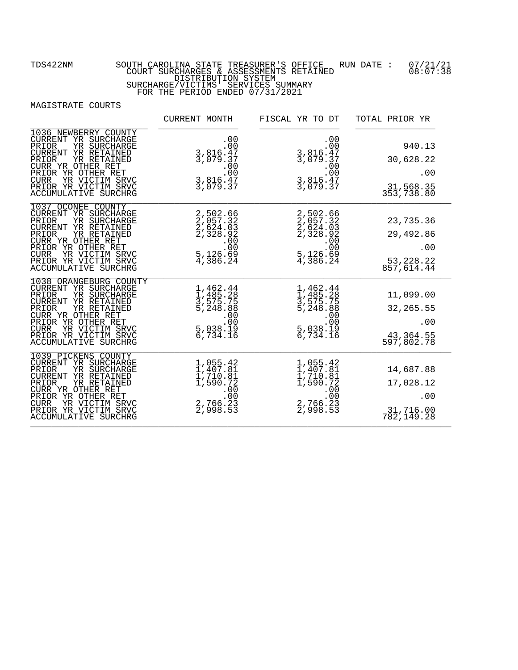|                                                                                                                                                                                                                                                          | CURRENT MONTH                                                                                            | FISCAL YR TO DT                                                             | TOTAL PRIOR YR                                             |
|----------------------------------------------------------------------------------------------------------------------------------------------------------------------------------------------------------------------------------------------------------|----------------------------------------------------------------------------------------------------------|-----------------------------------------------------------------------------|------------------------------------------------------------|
| 1036 NEWBERRY COUNTY<br>CURRENT YR SURCHARGE<br>YR SURCHARGE<br>PRIOR<br><b>CURRENT</b><br>YR RETAINED<br>YR RETAINED<br>PRIOR<br>CURR YR OTHER RET<br>PRIOR YR OTHER RET<br>CURR YR VICTIM SRVC<br>PRIOR YR VICTIM SRVC<br>ACCUMULATIVE SURCHRG         | .00<br>00:<br>3,816.47<br>3,079.37<br>$\begin{array}{r} 3,815 \ .00 \\ 3,816.47 \\ 3,079.37 \end{array}$ | .00<br>00 :<br>3,816 : 47 ;<br>3,079 : 37<br>.00.00<br>3,816.47<br>3,079.37 | 940.13<br>30,628.22<br>.00<br>31,568.35<br>353,738.80      |
| 1037 OCONEE COUNTY<br>CURRENT YR SURCHARGE<br>YR SURCHARGE<br>PRIOR<br>YR RETAINED<br><b>CURRENT</b><br>PRIOR<br>YR RETAINED<br>CURR YR OTHER RET<br>PRIOR YR OTHER RET<br><b>CURR</b><br>YR VICTIM SRVC<br>PRIOR YR VICTIM SRVC<br>ACCUMULATIVE SURCHRG | 2,502.66<br>2,057.32<br>2,624.03<br>2,328.92<br>$5,126.69$<br>4,386.24                                   | 2,502.66<br>2,057.32<br>2,624.03<br>2,328.92<br>$5,126.69$<br>4,386.24      | 23,735.36<br>29,492.86<br>.00<br>53, 228.22<br>857, 614.44 |
| 1038 ORANGEBURG COUNTY<br>CURRENT YR SURCHARGE<br>PRIOR<br>YR SURCHARGE<br>CURRENT YR RETAINED<br>PRIOR<br>YR RETAINED<br>CURR YR OTHER RET<br>PRIOR YR OTHER RET<br><b>CURR</b><br>YR VICTIM SRVC<br>PRIOR YR VICTIM SRVC<br>ACCUMULATIVE SURCHRG       | 1,462.44<br>1,485.28<br>3,575.75<br>5,248.88<br>5,038.19<br>6,734.16                                     | 1,462.44<br>1,485.28<br>3,575.75<br>5,248.88<br>$5,038.19$<br>6,734.16      | 11,099.00<br>32, 265.55<br>.00<br>43,364.55<br>597,802.78  |
| 1039 PICKENS COUNTY<br>CURRENT YR SURCHARGE<br>YR SURCHARGE<br>PRIOR<br>YR RETAINED<br>CURRENT<br>PRIOR<br>YR RETAINED<br>CURR YR OTHER RET<br>PRIOR YR OTHER RET<br><b>CURR</b><br>YR VICTIM SRVC<br>PRIOR YR VICTIM SRVC<br>ACCUMULATIVE SURCHRG       | 1,055.42<br>1,407.81<br>1,710.81<br>1,590.72<br>$2,766.23$<br>2,998.53                                   | 1,055.42<br>1,407.81<br>1,710.81<br>1,590.72<br>$2,766.23$<br>2,998.53      | 14,687.88<br>17,028.12<br>.00<br>31,716.00<br>782,149.28   |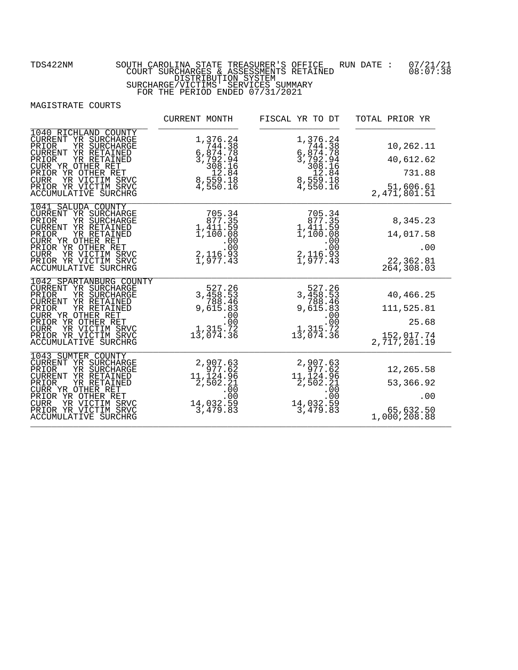|                                                                                                                                                                                                                                                          | CURRENT MONTH                                                                                                            | FISCAL YR TO DT                                                                                                      | TOTAL PRIOR YR                                                 |
|----------------------------------------------------------------------------------------------------------------------------------------------------------------------------------------------------------------------------------------------------------|--------------------------------------------------------------------------------------------------------------------------|----------------------------------------------------------------------------------------------------------------------|----------------------------------------------------------------|
| 1040 RICHLAND COUNTY<br>CURRENT YR SURCHARGE<br>PRIOR<br>YR SURCHARGE<br>CURRENT YR RETAINED<br>YR RETAINED<br>PRIOR<br>CURR YR OTHER RET<br>PRIOR YR OTHER RET<br>YR VICTIM SRVC<br><b>CURR</b><br>PRIOR YR VICTIM SRVC<br><b>ACCUMULATIVE SURCHRG</b>  | 1,376.24<br>744.38<br>$6,874.78$<br>3,792.946<br>308.16<br>308.16<br>8,559.18<br>4,550.16                                | 1,376.24<br>$7744.38$<br>$6,874.78$<br>$308.164$<br>$559.184$<br>$6,559.184$<br>$759.184$<br>$8,559.186$<br>4,550.16 | 10,262.11<br>40,612.62<br>731.88<br>51,606.61<br>2,471,801.51  |
| 1041 SALUDA COUNTY<br>CURRENT YR SURCHARGE<br>PRIOR<br>YR SURCHARGE<br>CURRENT YR RETAINED<br>PRIOR<br>YR RETAINED<br>CURR YR OTHER RET<br>PRIOR YR OTHER RET<br>YR VICTIM SRVC<br><b>CURR</b><br>PRIOR YR VICTIM SRVC<br>ACCUMULATIVE SURCHRG           | 705.34<br>$\begin{array}{c} 877.35 \\ 1,411.59 \\ 1,100.08 \end{array}$<br>$2,116.93$<br>1,977.43                        | 705.34<br>877.35<br>1,411.59<br>1,100.08<br>$2,116.93$<br>1,977.43                                                   | 8,345.23<br>14,017.58<br>.00<br>22,362.81<br>264,308.03        |
| 1042 SPARTANBURG COUNTY<br>CURRENT YR SURCHARGE<br>PRIOR<br>YR SURCHARGE<br>CURRENT YR RETAINED<br>PRIOR<br>YR RETAINED<br>CURR YR OTHER RET<br>PRIOR YR OTHER RET<br><b>CURR</b><br>YR VICTIM SRVC<br>PRIOR YR VICTIM SRVC<br>ACCUMULATIVE SURCHRG      | 527.26<br>3, 458.53<br>788.46<br>9, 615.83<br>$\begin{array}{r} .00 \\ .00 \\ .00 \\ .1,315.72 \end{array}$<br>13,074.36 | 527.26<br>3,458.53<br>788.46<br>9,615.83<br>$00$<br>00.<br>1,315.72<br>13,074.36                                     | 40,466.25<br>111,525.81<br>25.68<br>152,017.74<br>2,717,201.19 |
| 1043 SUMTER COUNTY<br>CURRENT YR SURCHARGE<br>YR SURCHARGE<br>PRIOR<br><b>CURRENT</b><br>YR RETAINED<br>PRIOR<br>YR RETAINED<br>CURR YR OTHER RET<br>PRIOR YR OTHER RET<br><b>CURR</b><br>YR VICTIM SRVC<br>PRIOR YR VICTIM SRVC<br>ACCUMULATIVE SURCHRG | 2,907.63<br>977.62<br>11,124.96<br>2,502.21<br>.00.00<br>14,032.59<br>3,479.83                                           | 2,907.63<br>977.62<br>$11, 124.96$<br>2,502.21<br>14,032.59<br>$\overline{3,479.83}$                                 | 12,265.58<br>53,366.92<br>.00<br>65,632.50<br>1,000,208.88     |